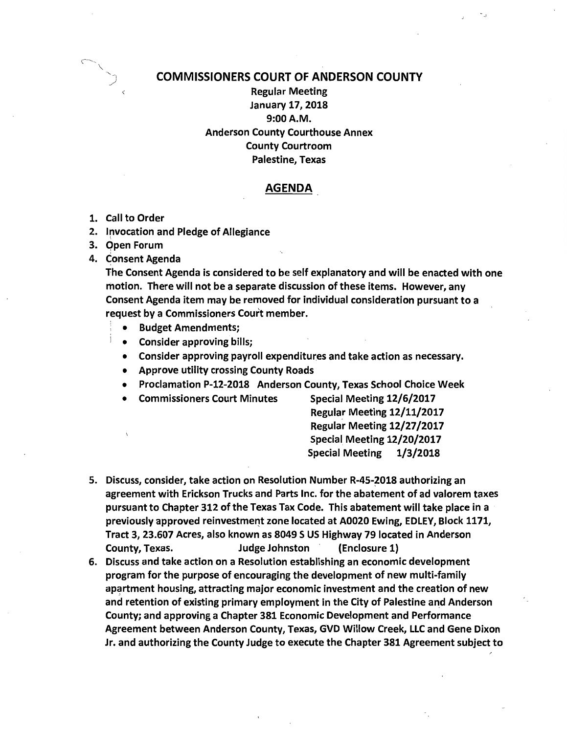

## COMMISSIONERS COURT OF ANDERSON COUNTY

Regular Meeting January 17, 2018 9:00A.M. Anderson County Courthouse Annex County Courtroom Palestine, Texas

## AGENDA

- 1. Call to Order
- 2. Invocation and Pledge of Allegiance \
- 3. Open Forum
- 4. Consent Agenda

The Consent Agenda is considered to be self explanatory and will be enacted with one motion. There will not be a separate discussion of these items. However, any Consent Agenda item may be removed for individual consideration pursuant to a request by a Commissioners Court member.

- : Budget Amendments;
- Consider approving bills;
- Consider approving payroll expenditures and take action as necessary.
- Approve utility crossing County Roads
- Proclamation P-12-2018 Anderson County, Texas School Choice Week
- Commissioners Court Minutes Special Meeting 12/6/2017

Regular Meeting 12/11/2017 Regular Meeting 12/27/2017 Special Meeting 12/20/2017 Special Meeting 1/3/2018

- 5. Discuss, consider, take action on Resolution Number R-45-2018 authorizing an agreement with Erickson Trucks and Parts Inc. for the abatement of ad valorem taxes pursuant to Chapter 312 of the Texas Tax Code. This abatement will take place in a previously approved reinvestment zone located at A0020 Ewing, EDLEY, Block 1171, Tract 3, 23.607 Acres, also known as 8049 S US Highway 79 located in Anderson County, Texas. Judge Johnston (Enclosure 1)
- 6. Discuss and take action on a Resolution establishing an economic development program for the purpose of encouraging the development of new multi-family apartment housing, attracting major economic investment and the creation of new and retention of existing primary employment in the City of Palestine and Anderson County; and approving a Chapter 381 Economic Development and Performance Agreement between Anderson County, Texas, GVD Willow Creek, LLC and Gene Dixon Jr. and authorizing the County Judge to execute the Chapter 381 Agreement subject to